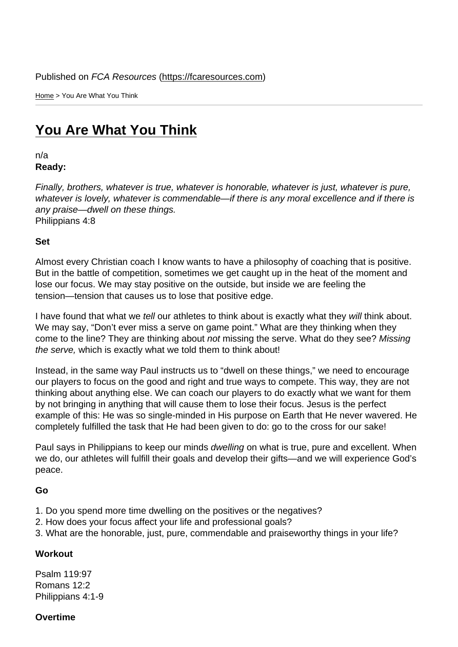Home > You Are What You Think

## [You](https://fcaresources.com/) Are What You Think

n/a [Ready:](https://fcaresources.com/devotional/you-are-what-you-think) 

Finally, brothers, whatever is true, whatever is honorable, whatever is just, whatever is pure, whatever is lovely, whatever is commendable—if there is any moral excellence and if there is any praise—dwell on these things. Philippians 4:8

Set

Almost every Christian coach I know wants to have a philosophy of coaching that is positive. But in the battle of competition, sometimes we get caught up in the heat of the moment and lose our focus. We may stay positive on the outside, but inside we are feeling the tension—tension that causes us to lose that positive edge.

I have found that what we tell our athletes to think about is exactly what they will think about. We may say, "Don't ever miss a serve on game point." What are they thinking when they come to the line? They are thinking about not missing the serve. What do they see? Missing the serve, which is exactly what we told them to think about!

Instead, in the same way Paul instructs us to "dwell on these things," we need to encourage our players to focus on the good and right and true ways to compete. This way, they are not thinking about anything else. We can coach our players to do exactly what we want for them by not bringing in anything that will cause them to lose their focus. Jesus is the perfect example of this: He was so single-minded in His purpose on Earth that He never wavered. He completely fulfilled the task that He had been given to do: go to the cross for our sake!

Paul says in Philippians to keep our minds dwelling on what is true, pure and excellent. When we do, our athletes will fulfill their goals and develop their gifts—and we will experience God's peace.

Go

- 1. Do you spend more time dwelling on the positives or the negatives?
- 2. How does your focus affect your life and professional goals?
- 3. What are the honorable, just, pure, commendable and praiseworthy things in your life?

**Workout** 

Psalm 119:97 Romans 12:2 Philippians 4:1-9

**Overtime**